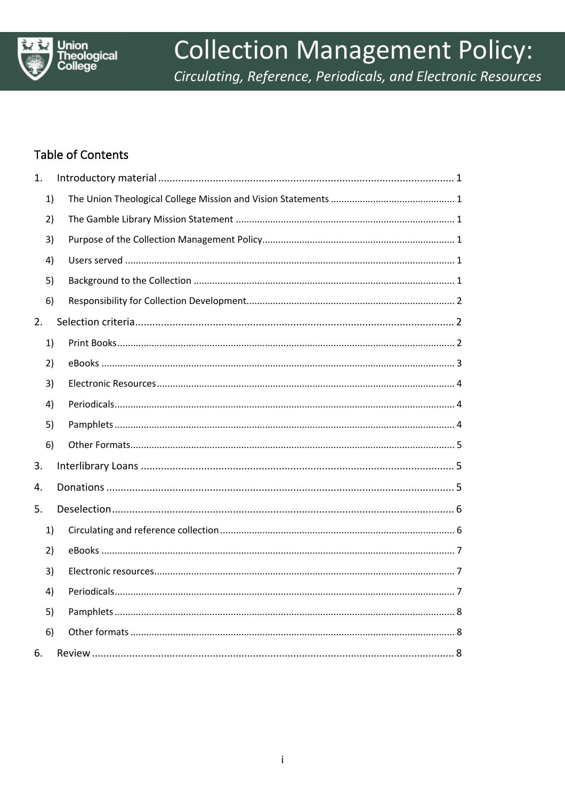

# **Collection Management Policy:**

Circulating, Reference, Periodicals, and Electronic Resources

# **Table of Contents**

| 1. |    |  |
|----|----|--|
|    | 1) |  |
|    | 2) |  |
|    | 3) |  |
|    | 4) |  |
|    | 5) |  |
|    | 6) |  |
| 2. |    |  |
|    | 1) |  |
|    | 2) |  |
|    | 3) |  |
|    | 4) |  |
|    | 5) |  |
|    | 6) |  |
| 3. |    |  |
| 4. |    |  |
| 5. |    |  |
|    | 1) |  |
|    | 2) |  |
|    | 3) |  |
|    | 4) |  |
|    | 5) |  |
|    | 6) |  |
| 6. |    |  |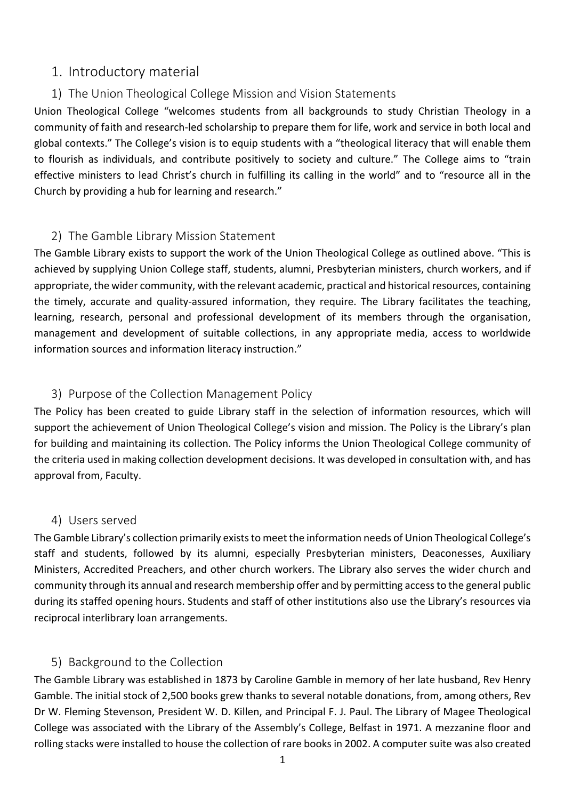# 1. Introductory material

## 1) The Union Theological College Mission and Vision Statements

Union Theological College "welcomes students from all backgrounds to study Christian Theology in a community of faith and research-led scholarship to prepare them for life, work and service in both local and global contexts." The College's vision is to equip students with a "theological literacy that will enable them to flourish as individuals, and contribute positively to society and culture." The College aims to "train effective ministers to lead Christ's church in fulfilling its calling in the world" and to "resource all in the Church by providing a hub for learning and research."

## 2) The Gamble Library Mission Statement

The Gamble Library exists to support the work of the Union Theological College as outlined above. "This is achieved by supplying Union College staff, students, alumni, Presbyterian ministers, church workers, and if appropriate, the wider community, with the relevant academic, practical and historical resources, containing the timely, accurate and quality-assured information, they require. The Library facilitates the teaching, learning, research, personal and professional development of its members through the organisation, management and development of suitable collections, in any appropriate media, access to worldwide information sources and information literacy instruction."

## 3) Purpose of the Collection Management Policy

The Policy has been created to guide Library staff in the selection of information resources, which will support the achievement of Union Theological College's vision and mission. The Policy is the Library's plan for building and maintaining its collection. The Policy informs the Union Theological College community of the criteria used in making collection development decisions. It was developed in consultation with, and has approval from, Faculty.

#### 4) Users served

The Gamble Library's collection primarily exists to meet the information needs of Union Theological College's staff and students, followed by its alumni, especially Presbyterian ministers, Deaconesses, Auxiliary Ministers, Accredited Preachers, and other church workers. The Library also serves the wider church and community through its annual and research membership offer and by permitting access to the general public during its staffed opening hours. Students and staff of other institutions also use the Library's resources via reciprocal interlibrary loan arrangements.

#### 5) Background to the Collection

The Gamble Library was established in 1873 by Caroline Gamble in memory of her late husband, Rev Henry Gamble. The initial stock of 2,500 books grew thanks to several notable donations, from, among others, Rev Dr W. Fleming Stevenson, President W. D. Killen, and Principal F. J. Paul. The Library of Magee Theological College was associated with the Library of the Assembly's College, Belfast in 1971. A mezzanine floor and rolling stacks were installed to house the collection of rare books in 2002. A computer suite was also created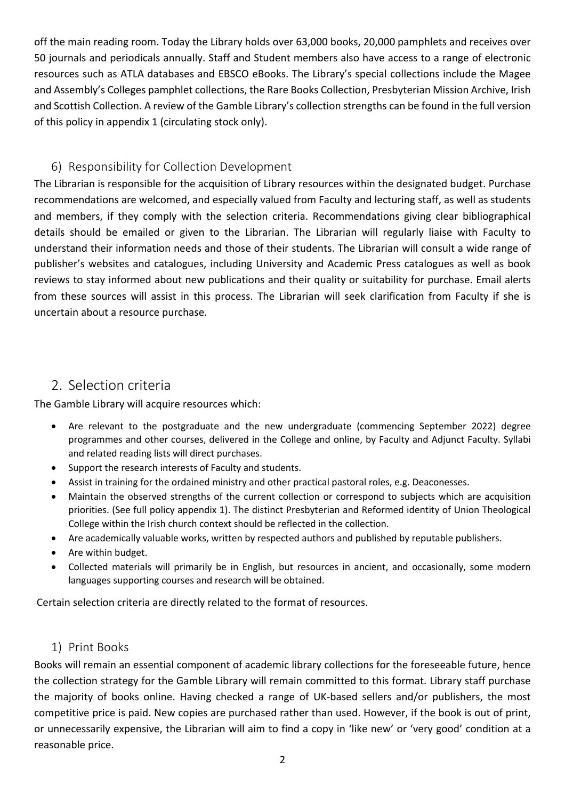off the main reading room. Today the Library holds over 63,000 books, 20,000 pamphlets and receives over 50 journals and periodicals annually. Staff and Student members also have access to a range of electronic resources such as ATLA databases and EBSCO eBooks. The Library's special collections include the Magee and Assembly's Colleges pamphlet collections, the Rare Books Collection, Presbyterian Mission Archive, Irish and Scottish Collection. A review of the Gamble Library's collection strengths can be found in the full version of this policy in appendix 1 (circulating stock only).

## 6) Responsibility for Collection Development

The Librarian is responsible for the acquisition of Library resources within the designated budget. Purchase recommendations are welcomed, and especially valued from Faculty and lecturing staff, as well as students and members, if they comply with the selection criteria. Recommendations giving clear bibliographical details should be emailed or given to the Librarian. The Librarian will regularly liaise with Faculty to understand their information needs and those of their students. The Librarian will consult a wide range of publisher's websites and catalogues, including University and Academic Press catalogues as well as book reviews to stay informed about new publications and their quality or suitability for purchase. Email alerts from these sources will assist in this process. The Librarian will seek clarification from Faculty if she is uncertain about a resource purchase.

# 2. Selection criteria

The Gamble Library will acquire resources which:

- Are relevant to the postgraduate and the new undergraduate (commencing September 2022) degree programmes and other courses, delivered in the College and online, by Faculty and Adjunct Faculty. Syllabi and related reading lists will direct purchases.
- Support the research interests of Faculty and students.
- Assist in training for the ordained ministry and other practical pastoral roles, e.g. Deaconesses.
- Maintain the observed strengths of the current collection or correspond to subjects which are acquisition priorities. (See full policy appendix 1). The distinct Presbyterian and Reformed identity of Union Theological College within the Irish church context should be reflected in the collection.
- Are academically valuable works, written by respected authors and published by reputable publishers.
- Are within budget.
- Collected materials will primarily be in English, but resources in ancient, and occasionally, some modern languages supporting courses and research will be obtained.

Certain selection criteria are directly related to the format of resources.

#### 1) Print Books

Books will remain an essential component of academic library collections for the foreseeable future, hence the collection strategy for the Gamble Library will remain committed to this format. Library staff purchase the majority of books online. Having checked a range of UK-based sellers and/or publishers, the most competitive price is paid. New copies are purchased rather than used. However, if the book is out of print, or unnecessarily expensive, the Librarian will aim to find a copy in 'like new' or 'very good' condition at a reasonable price.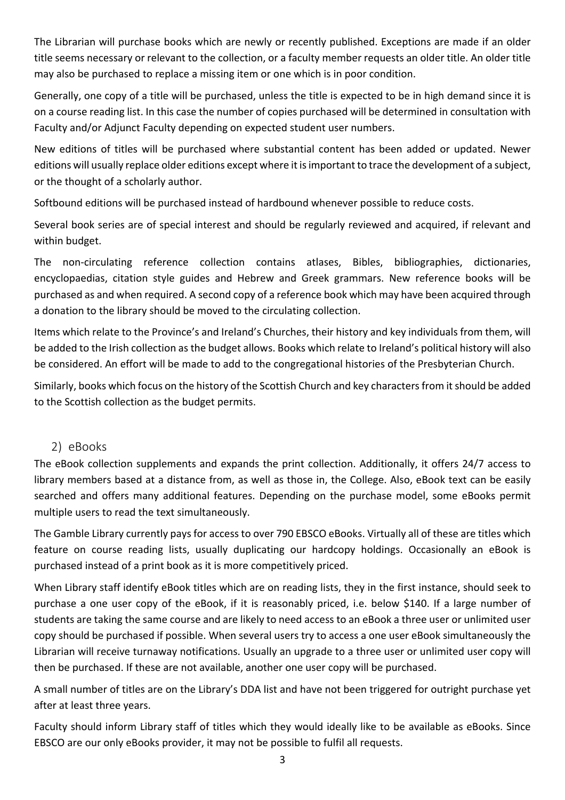The Librarian will purchase books which are newly or recently published. Exceptions are made if an older title seems necessary or relevant to the collection, or a faculty member requests an older title. An older title may also be purchased to replace a missing item or one which is in poor condition.

Generally, one copy of a title will be purchased, unless the title is expected to be in high demand since it is on a course reading list. In this case the number of copies purchased will be determined in consultation with Faculty and/or Adjunct Faculty depending on expected student user numbers.

New editions of titles will be purchased where substantial content has been added or updated. Newer editions will usually replace older editions except where it is important to trace the development of a subject, or the thought of a scholarly author.

Softbound editions will be purchased instead of hardbound whenever possible to reduce costs.

Several book series are of special interest and should be regularly reviewed and acquired, if relevant and within budget.

The non-circulating reference collection contains atlases, Bibles, bibliographies, dictionaries, encyclopaedias, citation style guides and Hebrew and Greek grammars. New reference books will be purchased as and when required. A second copy of a reference book which may have been acquired through a donation to the library should be moved to the circulating collection.

Items which relate to the Province's and Ireland's Churches, their history and key individuals from them, will be added to the Irish collection as the budget allows. Books which relate to Ireland's political history will also be considered. An effort will be made to add to the congregational histories of the Presbyterian Church.

Similarly, books which focus on the history of the Scottish Church and key characters from it should be added to the Scottish collection as the budget permits.

#### 2) eBooks

The eBook collection supplements and expands the print collection. Additionally, it offers 24/7 access to library members based at a distance from, as well as those in, the College. Also, eBook text can be easily searched and offers many additional features. Depending on the purchase model, some eBooks permit multiple users to read the text simultaneously.

The Gamble Library currently pays for access to over 790 EBSCO eBooks. Virtually all of these are titles which feature on course reading lists, usually duplicating our hardcopy holdings. Occasionally an eBook is purchased instead of a print book as it is more competitively priced.

When Library staff identify eBook titles which are on reading lists, they in the first instance, should seek to purchase a one user copy of the eBook, if it is reasonably priced, i.e. below \$140. If a large number of students are taking the same course and are likely to need access to an eBook a three user or unlimited user copy should be purchased if possible. When several users try to access a one user eBook simultaneously the Librarian will receive turnaway notifications. Usually an upgrade to a three user or unlimited user copy will then be purchased. If these are not available, another one user copy will be purchased.

A small number of titles are on the Library's DDA list and have not been triggered for outright purchase yet after at least three years.

Faculty should inform Library staff of titles which they would ideally like to be available as eBooks. Since EBSCO are our only eBooks provider, it may not be possible to fulfil all requests.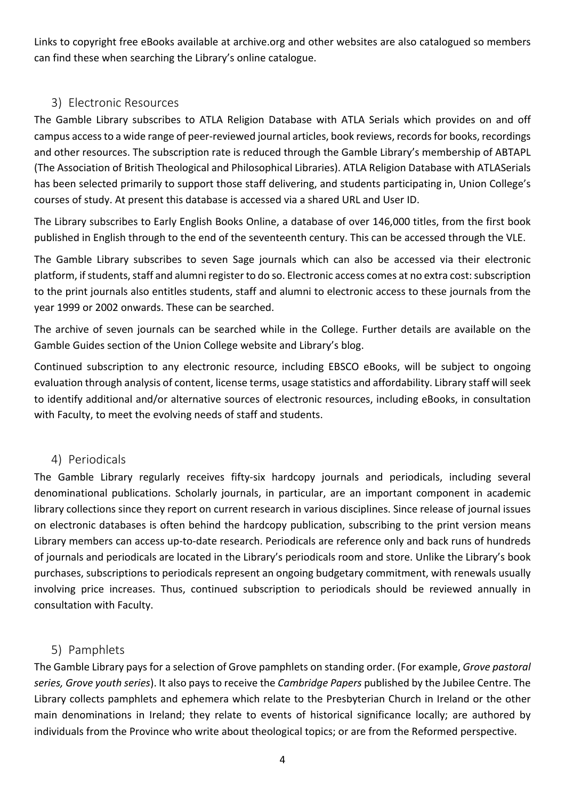Links to copyright free eBooks available at archive.org and other websites are also catalogued so members can find these when searching the Library's online catalogue.

## 3) Electronic Resources

The Gamble Library subscribes to ATLA Religion Database with ATLA Serials which provides on and off campus access to a wide range of peer-reviewed journal articles, book reviews, records for books, recordings and other resources. The subscription rate is reduced through the Gamble Library's membership of ABTAPL (The Association of British Theological and Philosophical Libraries). ATLA Religion Database with ATLASerials has been selected primarily to support those staff delivering, and students participating in, Union College's courses of study. At present this database is accessed via a shared URL and User ID.

The Library subscribes to Early English Books Online, a database of over 146,000 titles, from the first book published in English through to the end of the seventeenth century. This can be accessed through the VLE.

The Gamble Library subscribes to seven Sage journals which can also be accessed via their electronic platform, if students, staff and alumni register to do so. Electronic access comes at no extra cost: subscription to the print journals also entitles students, staff and alumni to electronic access to these journals from the year 1999 or 2002 onwards. These can be searched.

The archive of seven journals can be searched while in the College. Further details are available on the Gamble Guides section of the Union College website and Library's blog.

Continued subscription to any electronic resource, including EBSCO eBooks, will be subject to ongoing evaluation through analysis of content, license terms, usage statistics and affordability. Library staff will seek to identify additional and/or alternative sources of electronic resources, including eBooks, in consultation with Faculty, to meet the evolving needs of staff and students.

#### 4) Periodicals

The Gamble Library regularly receives fifty-six hardcopy journals and periodicals, including several denominational publications. Scholarly journals, in particular, are an important component in academic library collections since they report on current research in various disciplines. Since release of journal issues on electronic databases is often behind the hardcopy publication, subscribing to the print version means Library members can access up-to-date research. Periodicals are reference only and back runs of hundreds of journals and periodicals are located in the Library's periodicals room and store. Unlike the Library's book purchases, subscriptions to periodicals represent an ongoing budgetary commitment, with renewals usually involving price increases. Thus, continued subscription to periodicals should be reviewed annually in consultation with Faculty.

#### 5) Pamphlets

The Gamble Library pays for a selection of Grove pamphlets on standing order. (For example, *Grove pastoral series, Grove youth series*). It also pays to receive the *Cambridge Papers* published by the Jubilee Centre. The Library collects pamphlets and ephemera which relate to the Presbyterian Church in Ireland or the other main denominations in Ireland; they relate to events of historical significance locally; are authored by individuals from the Province who write about theological topics; or are from the Reformed perspective.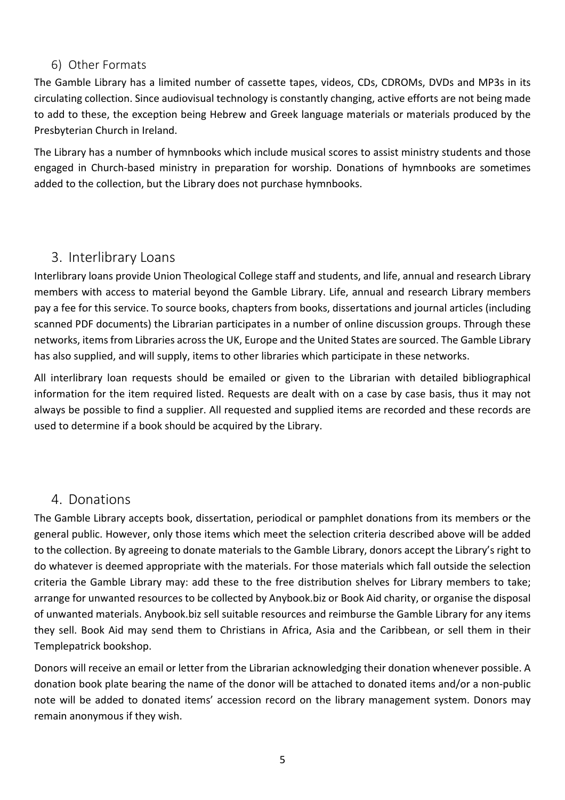#### 6) Other Formats

The Gamble Library has a limited number of cassette tapes, videos, CDs, CDROMs, DVDs and MP3s in its circulating collection. Since audiovisual technology is constantly changing, active efforts are not being made to add to these, the exception being Hebrew and Greek language materials or materials produced by the Presbyterian Church in Ireland.

The Library has a number of hymnbooks which include musical scores to assist ministry students and those engaged in Church-based ministry in preparation for worship. Donations of hymnbooks are sometimes added to the collection, but the Library does not purchase hymnbooks.

# 3. Interlibrary Loans

Interlibrary loans provide Union Theological College staff and students, and life, annual and research Library members with access to material beyond the Gamble Library. Life, annual and research Library members pay a fee for this service. To source books, chapters from books, dissertations and journal articles (including scanned PDF documents) the Librarian participates in a number of online discussion groups. Through these networks, items from Libraries across the UK, Europe and the United States are sourced. The Gamble Library has also supplied, and will supply, items to other libraries which participate in these networks.

All interlibrary loan requests should be emailed or given to the Librarian with detailed bibliographical information for the item required listed. Requests are dealt with on a case by case basis, thus it may not always be possible to find a supplier. All requested and supplied items are recorded and these records are used to determine if a book should be acquired by the Library.

# 4. Donations

The Gamble Library accepts book, dissertation, periodical or pamphlet donations from its members or the general public. However, only those items which meet the selection criteria described above will be added to the collection. By agreeing to donate materials to the Gamble Library, donors accept the Library's right to do whatever is deemed appropriate with the materials. For those materials which fall outside the selection criteria the Gamble Library may: add these to the free distribution shelves for Library members to take; arrange for unwanted resources to be collected by Anybook.biz or Book Aid charity, or organise the disposal of unwanted materials. Anybook.biz sell suitable resources and reimburse the Gamble Library for any items they sell. Book Aid may send them to Christians in Africa, Asia and the Caribbean, or sell them in their Templepatrick bookshop.

Donors will receive an email or letter from the Librarian acknowledging their donation whenever possible. A donation book plate bearing the name of the donor will be attached to donated items and/or a non-public note will be added to donated items' accession record on the library management system. Donors may remain anonymous if they wish.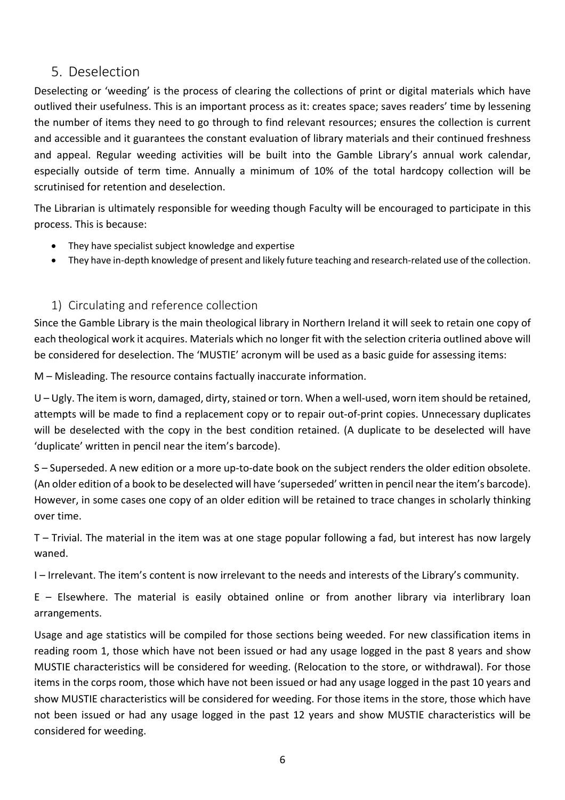# 5. Deselection

Deselecting or 'weeding' is the process of clearing the collections of print or digital materials which have outlived their usefulness. This is an important process as it: creates space; saves readers' time by lessening the number of items they need to go through to find relevant resources; ensures the collection is current and accessible and it guarantees the constant evaluation of library materials and their continued freshness and appeal. Regular weeding activities will be built into the Gamble Library's annual work calendar, especially outside of term time. Annually a minimum of 10% of the total hardcopy collection will be scrutinised for retention and deselection.

The Librarian is ultimately responsible for weeding though Faculty will be encouraged to participate in this process. This is because:

- They have specialist subject knowledge and expertise
- They have in-depth knowledge of present and likely future teaching and research-related use of the collection.

# 1) Circulating and reference collection

Since the Gamble Library is the main theological library in Northern Ireland it will seek to retain one copy of each theological work it acquires. Materials which no longer fit with the selection criteria outlined above will be considered for deselection. The 'MUSTIE' acronym will be used as a basic guide for assessing items:

M – Misleading. The resource contains factually inaccurate information.

U – Ugly. The item is worn, damaged, dirty, stained or torn. When a well-used, worn item should be retained, attempts will be made to find a replacement copy or to repair out-of-print copies. Unnecessary duplicates will be deselected with the copy in the best condition retained. (A duplicate to be deselected will have 'duplicate' written in pencil near the item's barcode).

S – Superseded. A new edition or a more up-to-date book on the subject renders the older edition obsolete. (An older edition of a book to be deselected will have 'superseded' written in pencil near the item's barcode). However, in some cases one copy of an older edition will be retained to trace changes in scholarly thinking over time.

T – Trivial. The material in the item was at one stage popular following a fad, but interest has now largely waned.

I – Irrelevant. The item's content is now irrelevant to the needs and interests of the Library's community.

E – Elsewhere. The material is easily obtained online or from another library via interlibrary loan arrangements.

Usage and age statistics will be compiled for those sections being weeded. For new classification items in reading room 1, those which have not been issued or had any usage logged in the past 8 years and show MUSTIE characteristics will be considered for weeding. (Relocation to the store, or withdrawal). For those items in the corps room, those which have not been issued or had any usage logged in the past 10 years and show MUSTIE characteristics will be considered for weeding. For those items in the store, those which have not been issued or had any usage logged in the past 12 years and show MUSTIE characteristics will be considered for weeding.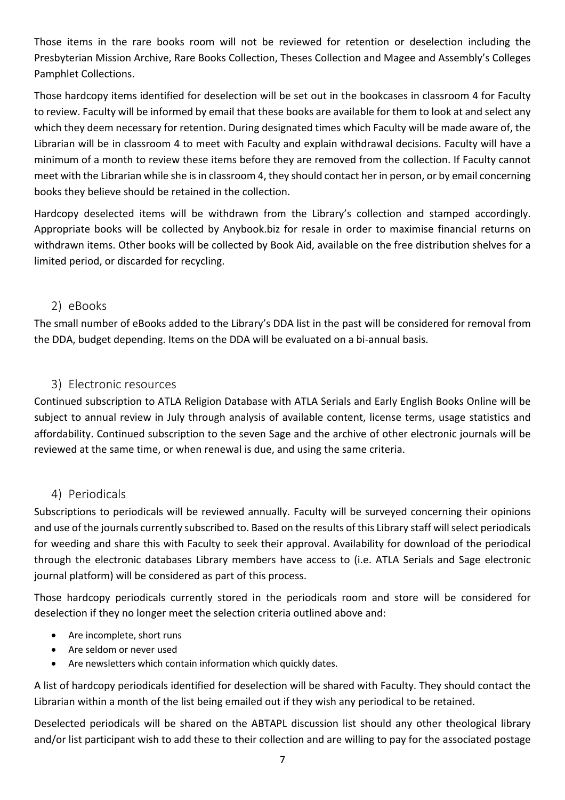Those items in the rare books room will not be reviewed for retention or deselection including the Presbyterian Mission Archive, Rare Books Collection, Theses Collection and Magee and Assembly's Colleges Pamphlet Collections.

Those hardcopy items identified for deselection will be set out in the bookcases in classroom 4 for Faculty to review. Faculty will be informed by email that these books are available for them to look at and select any which they deem necessary for retention. During designated times which Faculty will be made aware of, the Librarian will be in classroom 4 to meet with Faculty and explain withdrawal decisions. Faculty will have a minimum of a month to review these items before they are removed from the collection. If Faculty cannot meet with the Librarian while she is in classroom 4, they should contact her in person, or by email concerning books they believe should be retained in the collection.

Hardcopy deselected items will be withdrawn from the Library's collection and stamped accordingly. Appropriate books will be collected by Anybook.biz for resale in order to maximise financial returns on withdrawn items. Other books will be collected by Book Aid, available on the free distribution shelves for a limited period, or discarded for recycling.

## 2) eBooks

The small number of eBooks added to the Library's DDA list in the past will be considered for removal from the DDA, budget depending. Items on the DDA will be evaluated on a bi-annual basis.

# 3) Electronic resources

Continued subscription to ATLA Religion Database with ATLA Serials and Early English Books Online will be subject to annual review in July through analysis of available content, license terms, usage statistics and affordability. Continued subscription to the seven Sage and the archive of other electronic journals will be reviewed at the same time, or when renewal is due, and using the same criteria.

# 4) Periodicals

Subscriptions to periodicals will be reviewed annually. Faculty will be surveyed concerning their opinions and use of the journals currently subscribed to. Based on the results of this Library staff will select periodicals for weeding and share this with Faculty to seek their approval. Availability for download of the periodical through the electronic databases Library members have access to (i.e. ATLA Serials and Sage electronic journal platform) will be considered as part of this process.

Those hardcopy periodicals currently stored in the periodicals room and store will be considered for deselection if they no longer meet the selection criteria outlined above and:

- Are incomplete, short runs
- Are seldom or never used
- Are newsletters which contain information which quickly dates.

A list of hardcopy periodicals identified for deselection will be shared with Faculty. They should contact the Librarian within a month of the list being emailed out if they wish any periodical to be retained.

Deselected periodicals will be shared on the ABTAPL discussion list should any other theological library and/or list participant wish to add these to their collection and are willing to pay for the associated postage